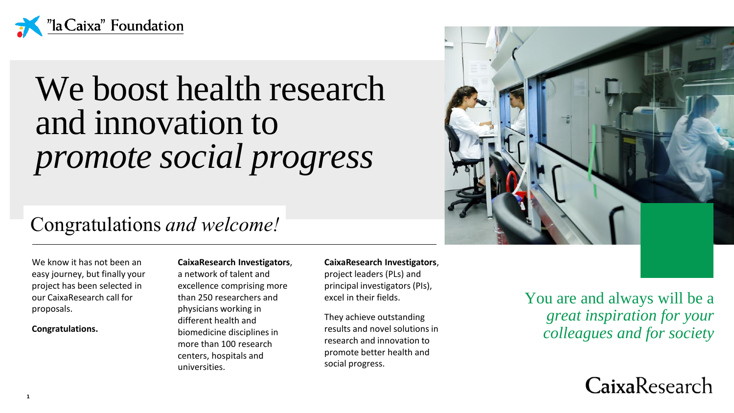

# We boost health research and innovation to *promote social progress*

### Congratulations *and welcome!*

We know it has not been an easy journey, but finally your project has been selected in our CaixaResearch call for proposals.

#### **Congratulations.**

#### **CaixaResearch Investigators**, a network of talent and excellence comprising more than 250 researchers and physicians working in different health and biomedicine disciplines in more than 100 research centers, hospitals and universities.

#### **CaixaResearch Investigators**,

project leaders (PLs) and principal investigators (PIs), excel in their fields.

They achieve outstanding results and novel solutions in research and innovation to promote better health and social progress.



You are and always will be a *great inspiration for your colleagues and for society*

CaixaResearch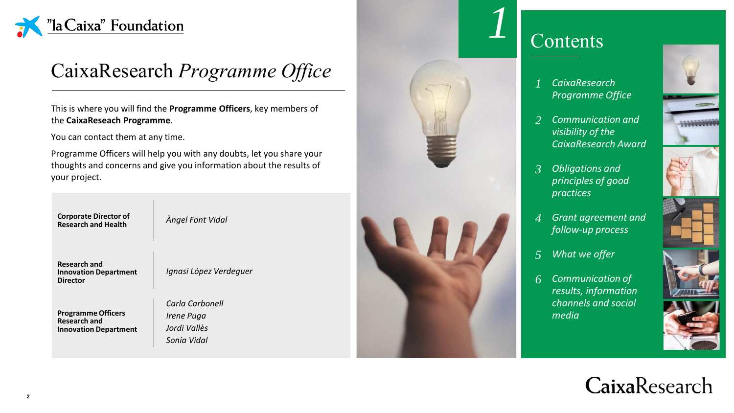

### CaixaResearch *Programme Office*

This is where you will find the **Programme Officers**, key members of the **CaixaReseach Programme**.

You can contact them at any time.

Programme Officers will help you with any doubts, let you share your thoughts and concerns and give you information about the results of your project.

**Corporate Director of** 

 $\lambda$ ngel Font Vidal

**Research and Innovation Department Director**

*Ignasi López Verdeguer*

**Programme Officers Research and Innovation Department**

*Carla Carbonell Irene Puga Jordi Vallès*

*Sonia Vidal*





*1*

- *CaixaResearch Programme Office*
- *Communication and visibility of the CaixaResearch Award 2*
- *Obligations and principles of good practices 3*
- *Grant agreement and follow-up process 4*
- *What we offer 5*
- *Communication of results, information channels and social media 6*



## CaixaResearch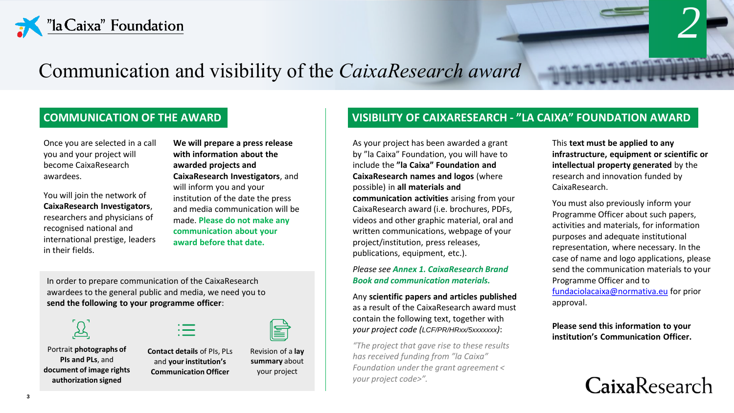

### Communication and visibility of the *CaixaResearch award*

#### **COMMUNICATION OF THE AWARD**

Once you are selected in a call you and your project will become CaixaResearch awardees.

You will join the network of **CaixaResearch Investigators**, researchers and physicians of recognised national and international prestige, leaders in their fields.

**We will prepare a press release with information about the awarded projects and CaixaResearch Investigators**, and will inform you and your institution of the date the press and media communication will be made. **Please do not make any communication about your award before that date.**

In order to prepare communication of the CaixaResearch awardees to the general public and media, we need you to **send the following to your programme officer**:

Portrait **photographs of PIs and PLs**, and **document of image rights authorization signed**

**Contact details** of PIs, PLs and **your institution's Communication Officer**



Revision of a **lay summary** about your project

#### **VISIBILITY OF CAIXARESEARCH - "LA CAIXA" FOUNDATION AWARD**

As your project has been awarded a grant by "la Caixa" Foundation, you will have to include the **"la Caixa" Foundation and CaixaResearch names and logos** (where possible) in **all materials and communication activities** arising from your CaixaResearch award (i.e. brochures, PDFs, videos and other graphic material, oral and written communications, webpage of your project/institution, press releases, publications, equipment, etc.).

*Please see Annex 1. CaixaResearch Brand Book and communication materials.*

Any **scientific papers and articles published**  as a result of the CaixaResearch award must contain the following text, together with *your project code (LCF/PR/HRxx/5xxxxxxx)*:

*"The project that gave rise to these results has received funding from "la Caixa" Foundation under the grant agreement < your project code>".*

This **text must be applied to any infrastructure, equipment or scientific or intellectual property generated** by the research and innovation funded by CaixaResearch.

*2*

**A SHARTAIN COMMUNISTIC** 

You must also previously inform your Programme Officer about such papers, activities and materials, for information purposes and adequate institutional representation, where necessary. In the case of name and logo applications, please send the communication materials to your Programme Officer and to [fundaciolacaixa@normativa.eu](mailto:fundaciolacaixa@normativa.eu) for prior approval.

**Please send this information to your institution's Communication Officer.**

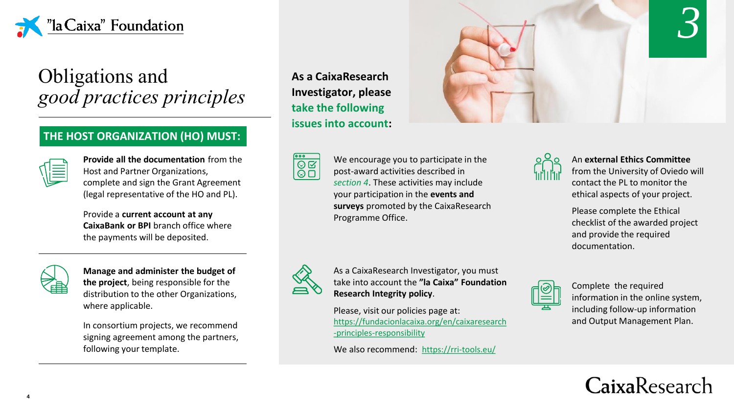

### Obligations and *good practices principles*

#### **THE HOST ORGANIZATION (HO) MUST:**

| ۰,<br>۹<br>٠<br>٠ |
|-------------------|

**Provide all the documentation** from the Host and Partner Organizations, complete and sign the Grant Agreement (legal representative of the HO and PL).

Provide a **current account at any CaixaBank or BPI** branch office where the payments will be deposited.



**Manage and administer the budget of the project**, being responsible for the distribution to the other Organizations, where applicable.

In consortium projects, we recommend signing agreement among the partners, following your template.

**As a CaixaResearch Investigator, please take the following issues into account:**

 $\overline{\bullet \bullet \bullet}$  $\frac{1}{\sqrt{2}}$ 

We encourage you to participate in the post-award activities described in *section 4*. These activities may include your participation in the **events and surveys** promoted by the CaixaResearch Programme Office.



As a CaixaResearch Investigator, you must take into account the **"la Caixa" Foundation Research Integrity policy**.

Please, visit our policies page at: [https://fundacionlacaixa.org/en/caixaresearch](https://fundacionlacaixa.org/en/caixaresearch-principles-responsibility) -principles-responsibility

We also recommend: <https://rri-tools.eu/>



An **external Ethics Committee** 

from the University of Oviedo will contact the PL to monitor the ethical aspects of your project.

Please complete the Ethical checklist of the awarded project and provide the required documentation.



Complete the required information in the online system, including follow-up information and Output Management Plan.

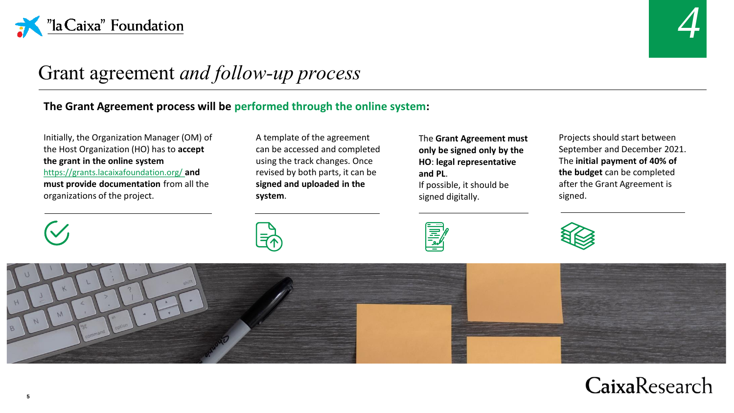



### Grant agreement *and follow-up process*

#### **The Grant Agreement process will be performed through the online system:**

Initially, the Organization Manager (OM) of the Host Organization (HO) has to **accept the grant in the online system**  <https://grants.lacaixafoundation.org/> **and** 

**must provide documentation** from all the organizations of the project.

A template of the agreement can be accessed and completed using the track changes. Once revised by both parts, it can be **signed and uploaded in the system**.

The **Grant Agreement must only be signed only by the HO**: **legal representative and PL**. If possible, it should be signed digitally.

冨士

Projects should start between September and December 2021. The **initial payment of 40% of the budget** can be completed after the Grant Agreement is signed.





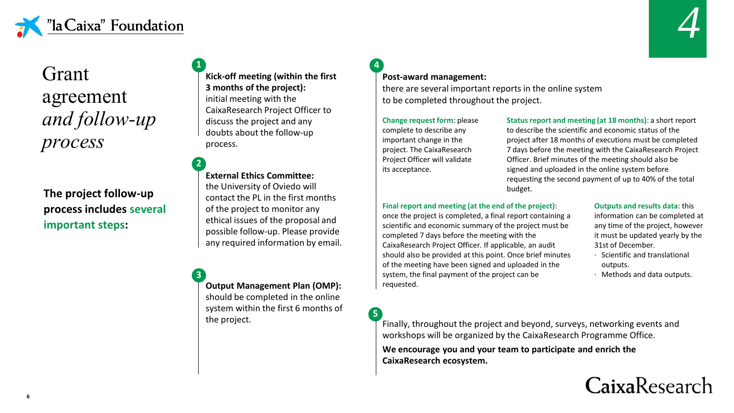



### Grant agreement *and follow-up process*

**The project follow-up process includes several important steps:**

**Kick-off meeting (within the first 3 months of the project):**  initial meeting with the CaixaResearch Project Officer to discuss the project and any doubts about the follow-up process. **1**

**External Ethics Committee:**  the University of Oviedo will contact the PL in the first months of the project to monitor any ethical issues of the proposal and possible follow-up. Please provide any required information by email. **2**

**Output Management Plan (OMP):**  should be completed in the online system within the first 6 months of the project. **3**

#### **Post-award management:**

there are several important reports in the online system to be completed throughout the project.

**Change request form**: please complete to describe any important change in the project. The CaixaResearch Project Officer will validate its acceptance.

**5**

**4**

**Status report and meeting (at 18 months)**: a short report to describe the scientific and economic status of the project after 18 months of executions must be completed 7 days before the meeting with the CaixaResearch Project Officer. Brief minutes of the meeting should also be signed and uploaded in the online system before requesting the second payment of up to 40% of the total budget.

#### **Final report and meeting (at the end of the project)**:

once the project is completed, a final report containing a scientific and economic summary of the project must be completed 7 days before the meeting with the CaixaResearch Project Officer. If applicable, an audit should also be provided at this point. Once brief minutes of the meeting have been signed and uploaded in the system, the final payment of the project can be requested.

#### **Outputs and results data**: this

information can be completed at any time of the project, however it must be updated yearly by the 31st of December.

- · Scientific and translational outputs.
- · Methods and data outputs.

Finally, throughout the project and beyond, surveys, networking events and workshops will be organized by the CaixaResearch Programme Office.

**We encourage you and your team to participate and enrich the CaixaResearch ecosystem.**

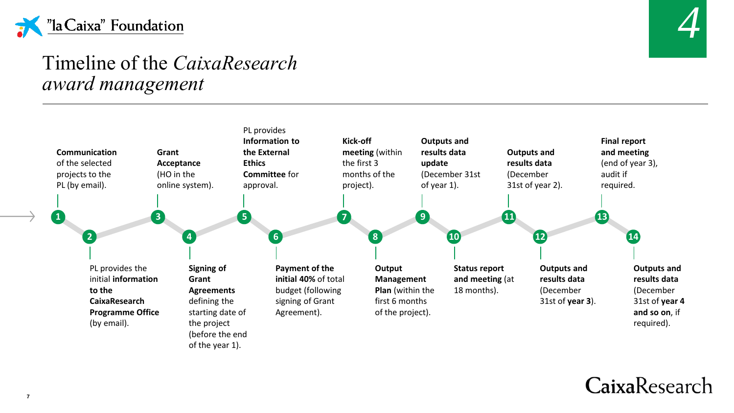



### Timeline of the *CaixaResearch award management*



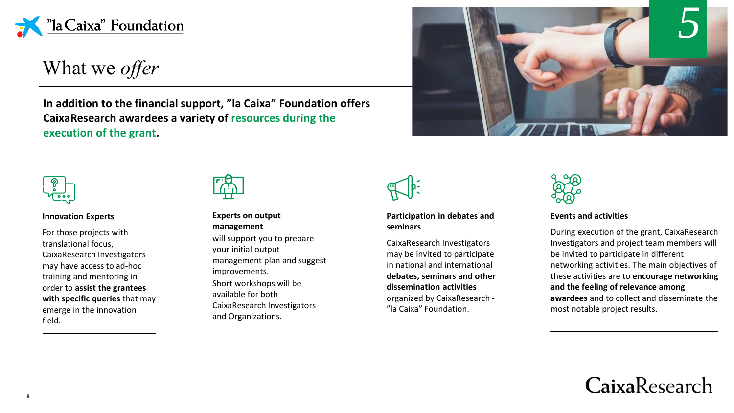

What we *offer*

**In addition to the financial support, "la Caixa" Foundation offers CaixaResearch awardees a variety of resources during the execution of the grant.** 





#### **Innovation Experts**

For those projects with translational focus, CaixaResearch Investigators may have access to ad-hoc training and mentoring in order to **assist the grantees with specific queries** that may emerge in the innovation field.



#### **Experts on output management**

will support you to prepare your initial output management plan and suggest improvements. Short workshops will be available for both CaixaResearch Investigators and Organizations.



#### **Participation in debates and seminars**

CaixaResearch Investigators may be invited to participate in national and international **debates, seminars and other dissemination activities**  organized by CaixaResearch - "la Caixa" Foundation.



#### **Events and activities**

During execution of the grant, CaixaResearch Investigators and project team members will be invited to participate in different networking activities. The main objectives of these activities are to **encourage networking and the feeling of relevance among awardees** and to collect and disseminate the most notable project results.

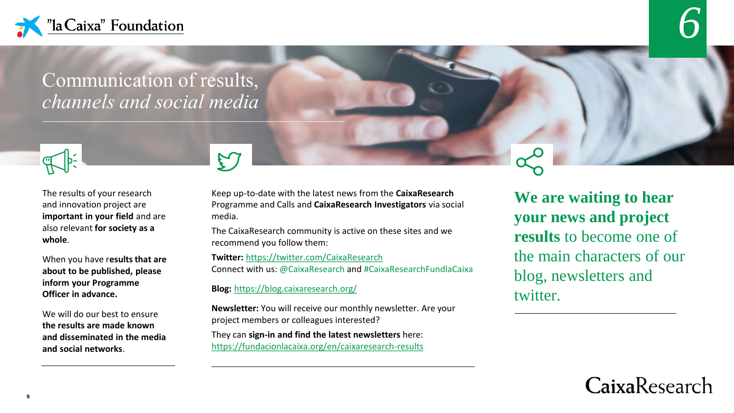

### Communication of results, *channels and social media*



The results of your research and innovation project are **important in your field** and are also relevant **for society as a whole**.

When you have r**esults that are about to be published, please inform your Programme Officer in advance.**

We will do our best to ensure **the results are made known and disseminated in the media and social networks**.

Keep up-to-date with the latest news from the **CaixaResearch** Programme and Calls and **CaixaResearch Investigators** via social media.

The CaixaResearch community is active on these sites and we recommend you follow them:

**Twitter:** <https://twitter.com/CaixaResearch> Connect with us: @CaixaResearch and #CaixaResearchFundlaCaixa

**Blog:** <https://blog.caixaresearch.org/>

 $\mathcal{L}$ 

**Newsletter:** You will receive our monthly newsletter. Are your project members or colleagues interested?

They can **sign-in and find the latest newsletters** here: https://fundacionlacaixa.org/en/caixaresearch-results

**We are waiting to hear your news and project results** to become one of the main characters of our blog, newsletters and twitter.

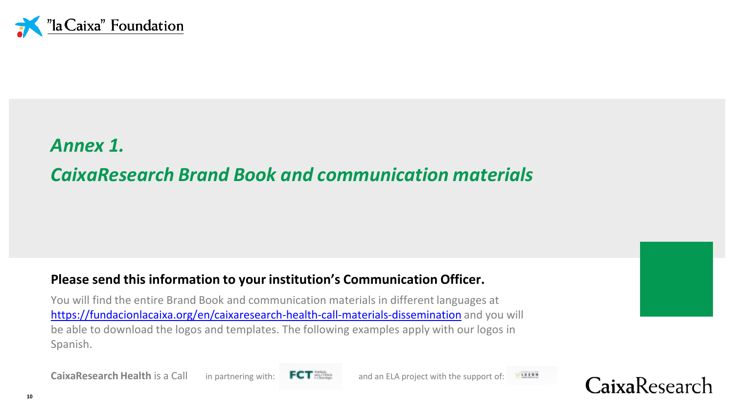

## *Annex 1. CaixaResearch Brand Book and communication materials*

### **Please send this information to your institution's Communication Officer.**

You will find the entire Brand Book and communication materials in different languages at <https://fundacionlacaixa.org/en/caixaresearch-health-call-materials-dissemination> and you will be able to download the logos and templates. The following examples apply with our logos in Spanish.

**CaixaResearch Health is a Call in partnering with: FCT mannel and an ELA project with the support of: 1998** 



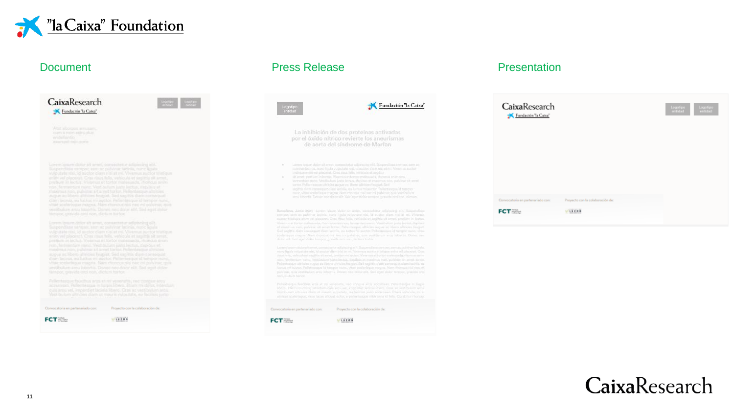

| CaixaResearch<br>Fundación "la Caixa"                                                                                                                                                                                                                                                                                                                                                                                                                                         | Logottas<br>Initiated<br><b>butter</b> |
|-------------------------------------------------------------------------------------------------------------------------------------------------------------------------------------------------------------------------------------------------------------------------------------------------------------------------------------------------------------------------------------------------------------------------------------------------------------------------------|----------------------------------------|
|                                                                                                                                                                                                                                                                                                                                                                                                                                                                               |                                        |
| Atat aborpto amusam.<br>cam a nim sorrunlur.<br>eritantin<br>compilmit pote                                                                                                                                                                                                                                                                                                                                                                                                   |                                        |
| Lorem loturn dator alt amnt, comeeting adipicality elit.<br>Suspenditie samper, sam as pulvinar hitfinia, nunc liquis.<br>valpatate visi, as suctor diam nisi at mt. Vivemus auctor trassque<br>entity well placeroat. Crisa risps fields, versicula et satsittie sill armet.<br>pretium in lectus. Vivenus et tortar malesuada, itiquous arun.<br>rion, fermeetum nung. Vestibulum lunta lectus, stapibus et<br>maximus hop, pulving sit anul textur. Pellentasque ultricies |                                        |
| worse an idsert ultricies frogrist. Sen expites diam normeoust.<br>diam lacinia, ay lactus mi auctor. Pellentesque id tempor nunc.<br>vitae speleringua magna. Nam monout nini neo mi pulvinar, quie<br>yentibuliam area taborhis. Donne nine delor with Sod want stoker<br>tempor, gravida ceci non, dictum tortor.                                                                                                                                                          |                                        |
| Lorem ipsum descriat amet, consectator adipiscing elit-<br>Suspendises semper, sam ac pullmar lacinis, note figula<br>witputate risk of autrice diam nitri et mi. Vienmun autrior triatique.<br>artists yet placerats Crax claus fails, versitula et saulitis alt arrest.<br>pretium in lectus. Visamus et tortor malemada, rhancus gnim.<br>rept, formerhan man; Westbulten justo bectus, daplbus et<br>medmus non, indictural ames torior. Pullentesque ultricies           |                                        |
| sugar as libera aftricies fautilat. Sed capitta durn composait<br>dium tacinia, au luttus mi auctor. Pallamasqua id tampor nunc.<br>vitae sociariagus magria. Nam rhuncus niai neo na pulvinar, qua-<br>vestibulum arou loboriis; Dowez nec dolor elit. Sed wort dolor<br>farepor, pravida deri non dictum turtor.                                                                                                                                                            |                                        |
| Pellentasque fauction and at his verminate, red constitue and<br>accuración. Pellecterque in turpo libera. Etiam mi dolor, interduct-<br>quis around, importiet lacinia libero. Cras ac vestibulum arcu-<br>Nextibulum unrigher diam ut mauris volputate, eu facilisis junto-                                                                                                                                                                                                 |                                        |

| Convocatoria en partenariado con: | Provecto con la colaboración de: |
|-----------------------------------|----------------------------------|
| <b>FCT</b>                        | LUZON                            |

### Document **Press Release** Press Release **Presentation**

|             | Fundación "la Caixa"<br>Logotipo<br>entidad                                                                                                                                                                                                                                                                                                                                                                                                                                                                                                                                                                                                                                                                                                                                                                    |
|-------------|----------------------------------------------------------------------------------------------------------------------------------------------------------------------------------------------------------------------------------------------------------------------------------------------------------------------------------------------------------------------------------------------------------------------------------------------------------------------------------------------------------------------------------------------------------------------------------------------------------------------------------------------------------------------------------------------------------------------------------------------------------------------------------------------------------------|
|             | La inhibición de dos proteínas activadas<br>por el óxido nítrico revierte los aneurismas<br>de aorta del síndrome de Marfan                                                                                                                                                                                                                                                                                                                                                                                                                                                                                                                                                                                                                                                                                    |
| ٠<br>٠<br>٠ | Lenim qasam dolar alt amiit, apmeachitist adiprocing est. Sutpendiese annopor, sam ac-<br>pullelings lacinity, more liquita vulpulate nisi, id auctor diam nisi at mi. Vivarma auctor-<br>triglique entre ed placaret. Crac mus falls, vehicule et and this<br>ait ampt, profilem in Indexs, Westman at toxton malmosable, rhenous exemptos,<br>ferrownhips runn, Vestillschan Justa Secha, danibus et masimus nov, guildous sit senet<br>tortor. Pellantaggue uftricite august ap libero ultricins faugust. Sed.<br>uspittis diaro consentuat diarri lacinia, no luctus mi austar. Pellantescus id tempor<br>reand, within additionation margina. Namy rhomisat raisi had mi grafilmas quite visitibularm.<br>area liiborlis. Donae nac dolar alit. Sed agat dolar tamator, at sulde ordinan, dictum-         |
|             |                                                                                                                                                                                                                                                                                                                                                                                                                                                                                                                                                                                                                                                                                                                                                                                                                |
|             | Barcelona, Junio 2021 Lonon ideant dolor sit amet, consectitur adipiecers allt. Supportfilme,<br>entriper, sem ac publisher latinis, nunc liquits vulpotate visi, et auctor diam nisi at mi. Vivernas,<br>suctur biatique etim vol placerat. Cras mus folls, vehicula et laqittis sit amat, pretium in laqtus.<br>Visamus et tortor maliticada, monous com non, farmentum nure. Venibulum judio lectus, depibus<br>of masterial non, pulving all arnel tortor. Pallermogue ultricies acque se libera ultricies finicies,<br>Sed sagittis diam consequent diam lacinia, ou lactus mi suctor. Pellerminizar id familiar mano, vitae<br>abalariseppe magna. Nam rhippeux niai lus: ini pulainte, quie vestibulure anna luborita. Disnoc noc<br>dalor silt. Seit som dolor tempor, gravita mar non, dictum tortur. |
|             | Lonmigroum dolor alt amet, consecte tur adipiscing of it. Supportings samper, sam ac punknar lacinia.<br>nune liquita volgistata nisi, id socitor slam nisi at mi. Vivamus auctor trictiqua anim vel placerat. Cras.<br>rigar fide, vehicula at sanittis attacout, protigm to lectua. Viewmat at tortor mark-tuada, rhancus noim.<br>non, feministum vuisis. Vestibulum karte liichus, daolbas et meximus non, pulainer alt amet tortos.<br>Patherbasque uthlisies augus ad liberts ultricias feucaut. Sed secritis diam consequat diam facinis, su<br>loctus mi auctor. Pellettesque id tampor cutic, vitas sosierisque magine. Nom increque titul nec mi<br>pulvinar, quie vertibulium arrai lobortis. Dones nec doita elit. Sed egist doita tempor, gravida orci<br>non, dictum tortoc.                     |
|             | Pellenhesque faucibus eras et ny veneratis, itec conquis anta accumum. Pellemesque in turpic<br>liberti. Etiam mil dolor, interdum gols were vel, insperdiet leginis liberti. Cras ac vestibulant area,<br>Vestibulum ultricias diam ut mauris vulgetate, ou facilisis jumo acquirease. Etiam vehicula, mi id<br>ultrices sonlerieque, onat lacus aliquet dolor, a pellentraque n'en uma el tells. Cumbitur rhonous                                                                                                                                                                                                                                                                                                                                                                                            |

### CaixaResearch